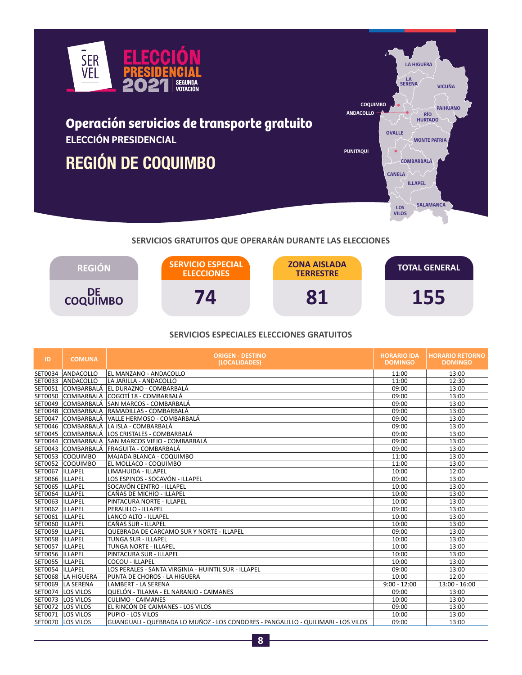

# **Operación servicios de transporte gratuito ELECCIÓN PRESIDENCIAL**

# **REGIÓN DE COQUIMBO**



# **SERVICIOS GRATUITOS QUE OPERARÁN DURANTE LAS ELECCIONES**



## **SERVICIOS ESPECIALES ELECCIONES GRATUITOS**

| ID               | <b>COMUNA</b>     | <b>ORIGEN - DESTINO</b><br>(LOCALIDADES)                                          | <b>HORARIO IDA</b><br><b>DOMINGO</b> | <b>HORARIO RETORNO</b><br><b>DOMINGO</b> |
|------------------|-------------------|-----------------------------------------------------------------------------------|--------------------------------------|------------------------------------------|
| SET0034          | ANDACOLLO         | EL MANZANO - ANDACOLLO                                                            | 11:00                                | 13:00                                    |
| SET0033          | ANDACOLLO         | LA JARILLA - ANDACOLLO                                                            | 11:00                                | 12:30                                    |
| SET0051          |                   | COMBARBALÁ EL DURAZNO - COMBARBALÁ                                                | 09:00                                | 13:00                                    |
| SET0050          |                   | COMBARBALÁ  COGOTÍ 18 - COMBARBALÁ                                                | 09:00                                | 13:00                                    |
| SET0049          |                   | COMBARBALÁ SAN MARCOS - COMBARBALÁ                                                | 09:00                                | 13:00                                    |
| SET0048          |                   | COMBARBALÁ RAMADILLAS - COMBARBALÁ                                                | 09:00                                | 13:00                                    |
| SET0047          |                   | COMBARBALÁ VALLE HERMOSO - COMBARBALÁ                                             | 09:00                                | 13:00                                    |
| SET0046          |                   | COMBARBALÁ LA ISLA - COMBARBALÁ                                                   | 09:00                                | 13:00                                    |
| SET0045          |                   | COMBARBALÁ LOS CRISTALES - COMBARBALÁ                                             | 09:00                                | 13:00                                    |
| SET0044          |                   | COMBARBALÁ SAN MARCOS VIEJO - COMBARBALÁ                                          | 09:00                                | 13:00                                    |
| SET0043          |                   | COMBARBALÁ FRAGUITA - COMBARBALÁ                                                  | 09:00                                | 13:00                                    |
| SET0053          | <b>COQUIMBO</b>   | MAJADA BLANCA - COQUIMBO                                                          | 11:00                                | 13:00                                    |
| SET0052          | <b>COQUIMBO</b>   | EL MOLLACO - COQUIMBO                                                             | 11:00                                | 13:00                                    |
| SET0067          | <b>ILLAPEL</b>    | LIMAHUIDA - ILLAPEL                                                               | 10:00                                | 12:00                                    |
| SET0066  ILLAPEL |                   | LOS ESPINOS - SOCAVÓN - ILLAPEL                                                   | 09:00                                | 13:00                                    |
| SET0065          | <b>ILLAPEL</b>    | SOCAVÓN CENTRO - ILLAPEL                                                          | 10:00                                | 13:00                                    |
| SET0064          | ILLAPEL           | CAÑAS DE MICHIO - ILLAPEL                                                         | 10:00                                | 13:00                                    |
| SET0063          | <b>ILLAPEL</b>    | PINTACURA NORTE - ILLAPEL                                                         | 10:00                                | 13:00                                    |
| SET0062  ILLAPEL |                   | PERALILLO - ILLAPEL                                                               | 09:00                                | 13:00                                    |
| SET0061          | <b>ILLAPEL</b>    | <b>LANCO ALTO - ILLAPEL</b>                                                       | 10:00                                | 13:00                                    |
| SET0060          | <b>ILLAPEL</b>    | CAÑAS SUR - ILLAPEL                                                               | 10:00                                | 13:00                                    |
| SET0059          | <b>ILLAPEL</b>    | <b>QUEBRADA DE CARCAMO SUR Y NORTE - ILLAPEL</b>                                  | 09:00                                | 13:00                                    |
| SET0058  ILLAPEL |                   | <b>TUNGA SUR - ILLAPEL</b>                                                        | 10:00                                | 13:00                                    |
| SET0057          | <b>ILLAPEL</b>    | <b>TUNGA NORTE - ILLAPEL</b>                                                      | 10:00                                | 13:00                                    |
| SET0056  ILLAPEL |                   | PINTACURA SUR - ILLAPEL                                                           | 10:00                                | 13:00                                    |
| SET0055          | <b>ILLAPEL</b>    | COCOU - ILLAPEL                                                                   | 10:00                                | 13:00                                    |
| SET0054          | <b>ILLAPEL</b>    | LOS PERALES - SANTA VIRGINIA - HUINTIL SUR - ILLAPEL                              | 09:00                                | 13:00                                    |
| SET0068          | LA HIGUERA        | PUNTA DE CHOROS - LA HIGUERA                                                      | 10:00                                | 12:00                                    |
| SET0069          | LA SERENA         | LAMBERT - LA SERENA                                                               | $9:00 - 12:00$                       | 13:00 - 16:00                            |
| SET0074          | LOS VILOS         | QUELÓN - TILAMA - EL NARANJO - CAIMANES                                           | 09:00                                | 13:00                                    |
| SET0073          | LOS VILOS         | <b>CULIMO - CAIMANES</b>                                                          | 10:00                                | 13:00                                    |
|                  | SET0072 LOS VILOS | EL RINCÓN DE CAIMANES - LOS VILOS                                                 | 09:00                                | 13:00                                    |
| SET0071          | LOS VILOS         | PUPIO - LOS VILOS                                                                 | 10:00                                | 13:00                                    |
|                  | SET0070 LOS VILOS | GUANGUALI - QUEBRADA LO MUÑOZ - LOS CONDORES - PANGALILLO - QUILIMARI - LOS VILOS | 09:00                                | 13:00                                    |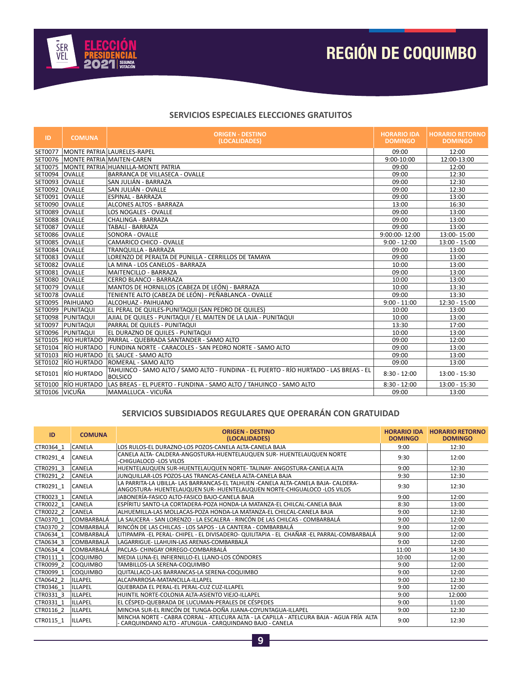

#### **SERVICIOS ESPECIALES ELECCIONES GRATUITOS**

| ID             | <b>COMUNA</b>      | <b>ORIGEN - DESTINO</b><br>(LOCALIDADES)                                                                | <b>HORARIO IDA</b><br><b>DOMINGO</b> | <b>HORARIO RETORNO</b><br><b>DOMINGO</b> |
|----------------|--------------------|---------------------------------------------------------------------------------------------------------|--------------------------------------|------------------------------------------|
| SET0077        |                    | MONTE PATRIA LAURELES-RAPEL                                                                             | 09:00                                | 12:00                                    |
| SET0076        |                    | MONTE PATRIA MAITEN-CAREN                                                                               | 9:00-10:00                           | 12:00-13:00                              |
| SET0075        |                    | MONTE PATRIA HUANILLA-MONTE PATRIA                                                                      | 09:00                                | 12:00                                    |
| SET0094        | <b>OVALLE</b>      | BARRANCA DE VILLASECA - OVALLE                                                                          | 09:00                                | 12:30                                    |
| SET0093        | <b>OVALLE</b>      | SAN JULIÁN - BARRAZA                                                                                    | 09:00                                | 12:30                                    |
| SET0092        | <b>OVALLE</b>      | SAN JULIÁN - OVALLE                                                                                     | 09:00                                | 12:30                                    |
| SET0091        | <b>OVALLE</b>      | <b>ESPINAL - BARRAZA</b>                                                                                | 09:00                                | 13:00                                    |
| SET0090        | <b>OVALLE</b>      | <b>ALCONES ALTOS - BARRAZA</b>                                                                          | 13:00                                | 16:30                                    |
| SET0089        | <b>OVALLE</b>      | <b>LOS NOGALES - OVALLE</b>                                                                             | 09:00                                | 13:00                                    |
| <b>SET0088</b> | <b>OVALLE</b>      | CHALINGA - BARRAZA                                                                                      | 09:00                                | 13:00                                    |
| SET0087        | <b>OVALLE</b>      | TABALÍ - BARRAZA                                                                                        | 09:00                                | 13:00                                    |
| SET0086        | <b>OVALLE</b>      | <b>SONORA - OVALLE</b>                                                                                  | 9:00:00-12:00                        | 13:00-15:00                              |
| SET0085        | <b>OVALLE</b>      | CAMARICO CHICO - OVALLE                                                                                 | $9:00 - 12:00$                       | $13:00 - 15:00$                          |
| SET0084        | <b>OVALLE</b>      | TRANQUILLA - BARRAZA                                                                                    | 09:00                                | 13:00                                    |
| SET0083        | <b>OVALLE</b>      | LORENZO DE PERALTA DE PUNILLA - CERRILLOS DE TAMAYA                                                     | 09:00                                | 13:00                                    |
| SET0082        | <b>OVALLE</b>      | LA MINA - LOS CANELOS - BARRAZA                                                                         | 10:00                                | 13:00                                    |
| SET0081        | <b>OVALLE</b>      | <b>MAITENCILLO - BARRAZA</b>                                                                            | 09:00                                | 13:00                                    |
| SET0080        | <b>OVALLE</b>      | CERRO BLANCO - BARRAZA                                                                                  | 10:00                                | 13:00                                    |
| SET0079        | <b>OVALLE</b>      | MANTOS DE HORNILLOS (CABEZA DE LEÓN) - BARRAZA                                                          | 10:00                                | 13:30                                    |
| SET0078        | <b>OVALLE</b>      | TENIENTE ALTO (CABEZA DE LEÓN) - PEÑABLANCA - OVALLE                                                    | 09:00                                | 13:30                                    |
|                | SET0095   PAIHUANO | ALCOHUAZ - PAIHUANO                                                                                     | $9:00 - 11:00$                       | $12:30 - 15:00$                          |
| SET0099        | PUNITAQUI          | EL PERAL DE QUILES-PUNITAQUI (SAN PEDRO DE QUILES)                                                      | 10:00                                | 13:00                                    |
| SET0098        | PUNITAQUI          | AJIAL DE QUILES - PUNITAQUI / EL MAITEN DE LA LAJA - PUNITAQUI                                          | 10:00                                | 13:00                                    |
| SET0097        | PUNITAQUI          | PARRAL DE QUILES - PUNITAQUI                                                                            | 13:30                                | 17:00                                    |
| SET0096        | PUNITAQUI          | EL DURAZNO DE QUILES - PUNITAQUI                                                                        | 10:00                                | 13:00                                    |
| SET0105        |                    | RÍO HURTADO PARRAL - QUEBRADA SANTANDER - SAMO ALTO                                                     | 09:00                                | 12:00                                    |
| SET0104        | <b>RÍO HURTADO</b> | FUNDINA NORTE - CARACOLES - SAN PEDRO NORTE - SAMO ALTO                                                 | 09:00                                | 13:00                                    |
| SET0103        |                    | RÍO HURTADO EL SAUCE - SAMO ALTO                                                                        | 09:00                                | 13:00                                    |
| SET0102        |                    | RÍO HURTADO ROMERAL - SAMO ALTO                                                                         | 09:00                                | 13:00                                    |
| SET0101        | RÍO HURTADO        | TAHUINCO - SAMO ALTO / SAMO ALTO - FUNDINA - EL PUERTO - RÍO HURTADO - LAS BREAS - EL<br><b>BOLSICO</b> | $8:30 - 12:00$                       | 13:00 - 15:30                            |
| SET0100        | RÍO HURTADO        | LAS BREAS - EL PUERTO - FUNDINA - SAMO ALTO / TAHUINCO - SAMO ALTO                                      | $8:30 - 12:00$                       | 13:00 - 15:30                            |
| SET0106 VICUÑA |                    | MAMALLUCA - VICUÑA                                                                                      | 09:00                                | 13:00                                    |

### **SERVICIOS SUBSIDIADOS REGULARES QUE OPERARÁN CON GRATUIDAD**

| ID        | <b>COMUNA</b>     | <b>ORIGEN - DESTINO</b><br>(LOCALIDADES)                                                                                                                     | <b>HORARIO IDA</b><br><b>DOMINGO</b> | <b>HORARIO RETORNO</b><br><b>DOMINGO</b> |
|-----------|-------------------|--------------------------------------------------------------------------------------------------------------------------------------------------------------|--------------------------------------|------------------------------------------|
| CTR0364 1 | CANELA            | LOS RULOS-EL DURAZNO-LOS POZOS-CANELA ALTA-CANELA BAJA                                                                                                       | 9:00                                 | 12:30                                    |
| CTR0291 4 | <b>CANELA</b>     | CANELA ALTA- CALDERA-ANGOSTURA-HUENTELAUQUEN SUR- HUENTELAUQUEN NORTE<br>-CHIGUALOCO -LOS VILOS                                                              | 9:30                                 | 12:00                                    |
| CTR0291 3 | <b>CANELA</b>     | HUENTELAUQUEN SUR-HUENTELAUQUEN NORTE- TALINAY- ANGOSTURA-CANELA ALTA                                                                                        | 9:00                                 | 12:30                                    |
| CTR0291 2 | <b>CANELA</b>     | JUNOUILLAR-LOS POZOS-LAS TRANCAS-CANELA ALTA-CANELA BAJA                                                                                                     | 9:30                                 | 12:30                                    |
| CTR0291 1 | <b>CANELA</b>     | LA PARRITA-LA UBILLA- LAS BARRANCAS-EL TALHUEN -CANELA ALTA-CANELA BAJA- CALDERA-<br>ANGOSTURA- HUENTELAUQUEN SUR- HUENTELAUQUEN NORTE-CHIGUALOCO -LOS VILOS | 9:30                                 | 12:30                                    |
| CTR0023 1 | <b>CANELA</b>     | JABONERÍA-FASICO ALTO-FASICO BAJO-CANELA BAJA                                                                                                                | 9:00                                 | 12:00                                    |
| CTR0022 1 | CANELA            | ESPÍRITU SANTO-LA CORTADERA-POZA HONDA-LA MATANZA-EL CHILCAL-CANELA BAJA                                                                                     | 8:30                                 | 13:00                                    |
| CTR0022 2 | <b>CANELA</b>     | ALHUEMILLA-LAS MOLLACAS-POZA HONDA-LA MATANZA-EL CHILCAL-CANELA BAJA                                                                                         | 9:00                                 | 12:30                                    |
| CTA0370 1 | <b>COMBARBALÁ</b> | LA SAUCERA - SAN LORENZO - LA ESCALERA - RINCÓN DE LAS CHILCAS - COMBARBALÁ                                                                                  | 9:00                                 | 12:00                                    |
| CTA0370 2 | COMBARBALÁ        | RINCÓN DE LAS CHILCAS - LOS SAPOS - LA CANTERA - COMBARBALÁ                                                                                                  | 9:00                                 | 12:00                                    |
| CTA0634 1 | COMBARBALÁ        | LITIPAMPA -EL PERAL- CHIPEL - EL DIVISADERO- QUILITAPIA - EL CHAÑAR -EL PARRAL-COMBARBALÁ                                                                    | 9:00                                 | 12:00                                    |
| CTA0634 3 | COMBARBALÁ        | LAGARRIGUE- LLAHUIN-LAS ARENAS-COMBARBALÁ                                                                                                                    | 9:00                                 | 12:00                                    |
| CTA0634 4 | COMBARBALÁ        | PACLAS- CHINGAY ORREGO-COMBARBALÁ                                                                                                                            | 11:00                                | 14:30                                    |
| CTR0111 1 | <b>COQUIMBO</b>   | MEDIA LUNA-EL INFIERNILLO-EL LLANO-LOS CÓNDORES                                                                                                              | 10:00                                | 12:00                                    |
| CTR0099 2 | <b>COOUIMBO</b>   | TAMBILLOS-LA SERENA-COQUIMBO                                                                                                                                 | 9:00                                 | 12:00                                    |
| CTR0099 1 | <b>COQUIMBO</b>   | QUITALLACO-LAS BARRANCAS-LA SERENA-COQUIMBO                                                                                                                  | 9:00                                 | 12:00                                    |
| CTA0642 2 | ILLAPEL           | ALCAPARROSA-MATANCILLA-ILLAPEL                                                                                                                               | 9:00                                 | 12:30                                    |
| CTR0346 1 | ILLAPEL           | <b>OUEBRADA EL PERAL-EL PERAL-CUZ CUZ-ILLAPEL</b>                                                                                                            | 9:00                                 | 12:00                                    |
| CTR0331 3 | ILLAPEL           | HUINTIL NORTE-COLONIA ALTA-ASIENTO VIEJO-ILLAPEL                                                                                                             | 9:00                                 | 12:000                                   |
| CTR0331 1 | ILLAPEL           | EL CÉSPED-OUEBRADA DE LUCUMAN-PERALES DE CÉSPEDES                                                                                                            | 9:00                                 | 11:00                                    |
| CTR0116 2 | ILLAPEL           | MINCHA SUR-EL RINCÓN DE TUNGA-DOÑA JUANA-COYUNTAGUA-ILLAPEL                                                                                                  | 9:00                                 | 12:30                                    |
| CTR0115 1 | <b>ILLAPEL</b>    | MINCHA NORTE - CABRA CORRAL - ATELCURA ALTA - LA CAPILLA - ATELCURA BAJA - AGUA FRÍA ALTA<br>· CARQUINDANO ALTO - ATUNGUA - CARQUINDANO BAJO - CANELA        | 9:00                                 | 12:30                                    |